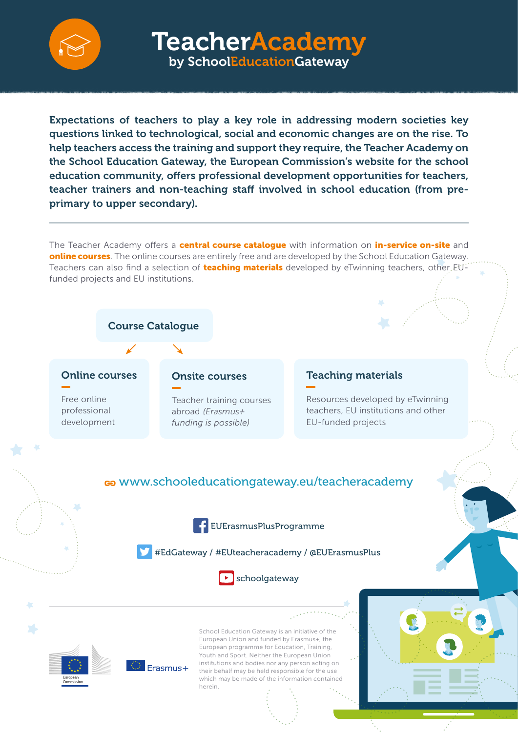

TeacherAcademy by SchoolEducationGateway

Expectations of teachers to play a key role in addressing modern societies key questions linked to technological, social and economic changes are on the rise. To help teachers access the training and support they require, the Teacher Academy on the School Education Gateway, the European Commission's website for the school education community, offers professional development opportunities for teachers, teacher trainers and non-teaching staff involved in school education (from preprimary to upper secondary).

The Teacher Academy offers a **central course catalogue** with information on **in-service on-site** and online courses. The online courses are entirely free and are developed by the School Education Gateway. Teachers can also find a selection of **teaching materials** developed by eTwinning teachers, other EUfunded projects and EU institutions.



#### Online courses

Free online professional development

#### Onsite courses

Teacher training courses abroad *(Erasmus+ funding is possible)*

### Teaching materials

Resources developed by eTwinning teachers, EU institutions and other EU-funded projects

### [www.schooleducationgateway.eu](http://www.schooleducationgateway.eu/teacheracademy)/teacheracademy

 [EUErasmusPlusProgramme](http://www.facebook.eu/EUErasmusPlusProgramme)

[#EdGateway](https://twitter.com/hashtag/EdGateway) / [#EUteacheracademy](http://twitter.com/hashtag/EUteacheracademy) / [@EUErasmusPlus](https://twitter.com/EUErasmusPlus)





School Education Gateway is an initiative of the European Union and funded by Erasmus+, the European programme for Education, Training, Youth and Sport. Neither the European Union institutions and bodies nor any person acting on their behalf may be held responsible for the use which may be made of the information contained herein.